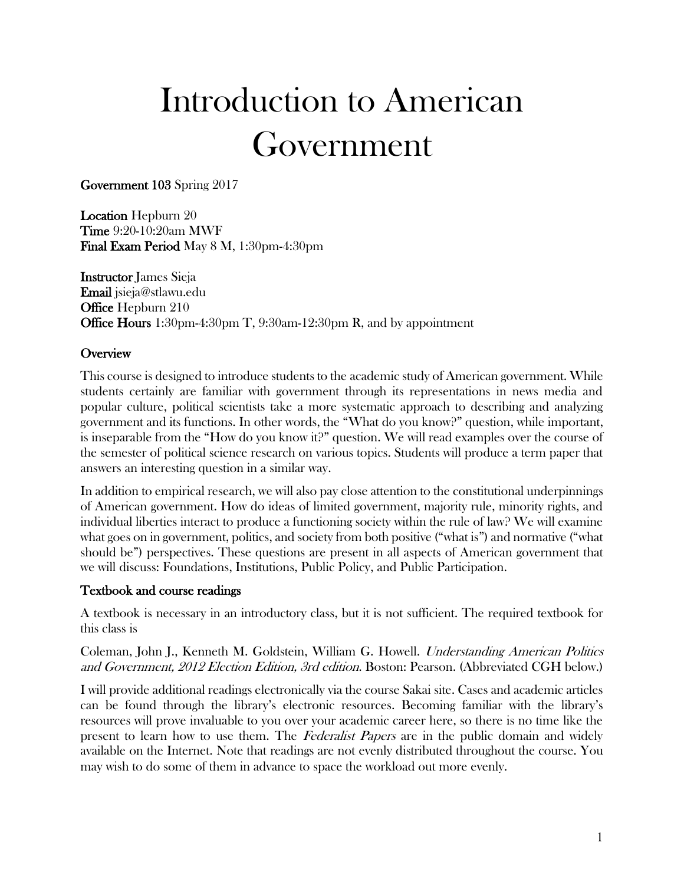# Introduction to American Government

Government 103 Spring 2017

Location Hepburn 20 Time 9:20-10:20am MWF Final Exam Period May 8 M, 1:30pm-4:30pm

Instructor James Sieja Email jsieja@stlawu.edu Office Hepburn 210 Office Hours 1:30pm-4:30pm T, 9:30am-12:30pm R, and by appointment

#### **Overview**

This course is designed to introduce students to the academic study of American government. While students certainly are familiar with government through its representations in news media and popular culture, political scientists take a more systematic approach to describing and analyzing government and its functions. In other words, the "What do you know?" question, while important, is inseparable from the "How do you know it?" question. We will read examples over the course of the semester of political science research on various topics. Students will produce a term paper that answers an interesting question in a similar way.

In addition to empirical research, we will also pay close attention to the constitutional underpinnings of American government. How do ideas of limited government, majority rule, minority rights, and individual liberties interact to produce a functioning society within the rule of law? We will examine what goes on in government, politics, and society from both positive ("what is") and normative ("what should be") perspectives. These questions are present in all aspects of American government that we will discuss: Foundations, Institutions, Public Policy, and Public Participation.

#### Textbook and course readings

A textbook is necessary in an introductory class, but it is not sufficient. The required textbook for this class is

Coleman, John J., Kenneth M. Goldstein, William G. Howell. Understanding American Politics and Government, 2012 Election Edition, 3rd edition. Boston: Pearson. (Abbreviated CGH below.)

I will provide additional readings electronically via the course Sakai site. Cases and academic articles can be found through the library's electronic resources. Becoming familiar with the library's resources will prove invaluable to you over your academic career here, so there is no time like the present to learn how to use them. The Federalist Papers are in the public domain and widely available on the Internet. Note that readings are not evenly distributed throughout the course. You may wish to do some of them in advance to space the workload out more evenly.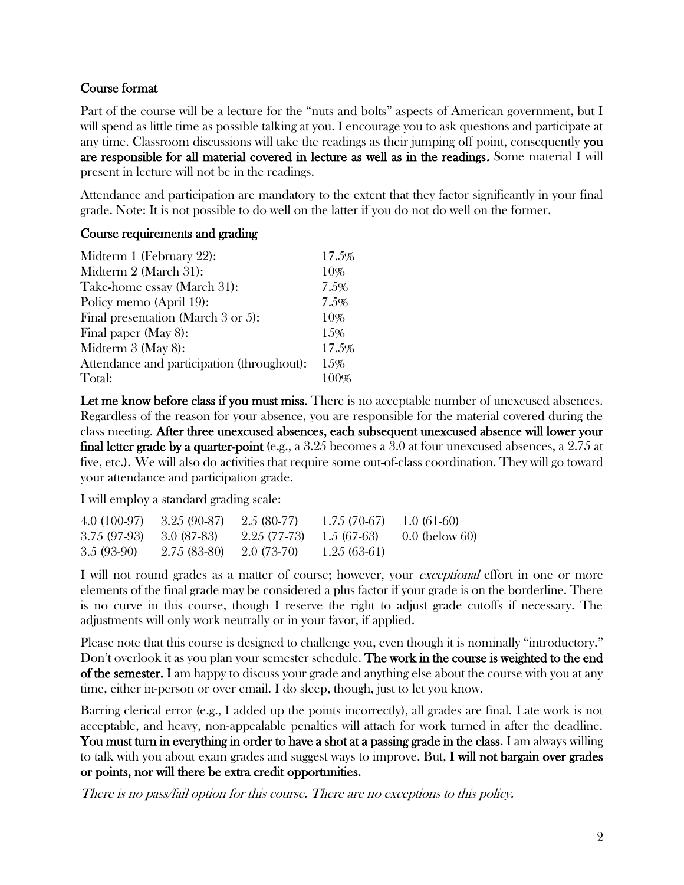#### Course format

Part of the course will be a lecture for the "nuts and bolts" aspects of American government, but I will spend as little time as possible talking at you. I encourage you to ask questions and participate at any time. Classroom discussions will take the readings as their jumping off point, consequently you are responsible for all material covered in lecture as well as in the readings. Some material I will present in lecture will not be in the readings.

Attendance and participation are mandatory to the extent that they factor significantly in your final grade. Note: It is not possible to do well on the latter if you do not do well on the former.

#### Course requirements and grading

| Midterm 1 (February 22):                   | 17.5% |
|--------------------------------------------|-------|
| Midterm 2 (March 31):                      | 10%   |
| Take-home essay (March 31):                | 7.5%  |
| Policy memo (April 19):                    | 7.5%  |
| Final presentation (March 3 or 5):         | 10%   |
| Final paper (May 8):                       | 15%   |
| Midterm $3$ (May 8):                       | 17.5% |
| Attendance and participation (throughout): | 15%   |
| Total:                                     |       |

Let me know before class if you must miss. There is no acceptable number of unexcused absences. Regardless of the reason for your absence, you are responsible for the material covered during the class meeting. After three unexcused absences, each subsequent unexcused absence will lower your final letter grade by a quarter-point (e.g., a 3.25 becomes a 3.0 at four unexcused absences, a 2.75 at five, etc.). We will also do activities that require some out-of-class coordination. They will go toward your attendance and participation grade.

I will employ a standard grading scale:

| $4.0(100-97)$ | $3.25(90-87)$ | $2.5(80-77)$  | $1.75(70-67)$ | 1.0 $(61-60)$    |
|---------------|---------------|---------------|---------------|------------------|
| $3.75(97-93)$ | - 3.0 (87-83) | 2.25 (77-73)  | 1.5 (67-63)   | $0.0$ (below 60) |
| $3.5(93-90)$  | 2.75 (83-80)  | $-2.0(73-70)$ | $1.25(63-61)$ |                  |

I will not round grades as a matter of course; however, your *exceptional* effort in one or more elements of the final grade may be considered a plus factor if your grade is on the borderline. There is no curve in this course, though I reserve the right to adjust grade cutoffs if necessary. The adjustments will only work neutrally or in your favor, if applied.

Please note that this course is designed to challenge you, even though it is nominally "introductory." Don't overlook it as you plan your semester schedule. The work in the course is weighted to the end of the semester. I am happy to discuss your grade and anything else about the course with you at any time, either in-person or over email. I do sleep, though, just to let you know.

Barring clerical error (e.g., I added up the points incorrectly), all grades are final. Late work is not acceptable, and heavy, non-appealable penalties will attach for work turned in after the deadline. You must turn in everything in order to have a shot at a passing grade in the class. I am always willing to talk with you about exam grades and suggest ways to improve. But, I will not bargain over grades or points, nor will there be extra credit opportunities.

There is no pass/fail option for this course. There are no exceptions to this policy.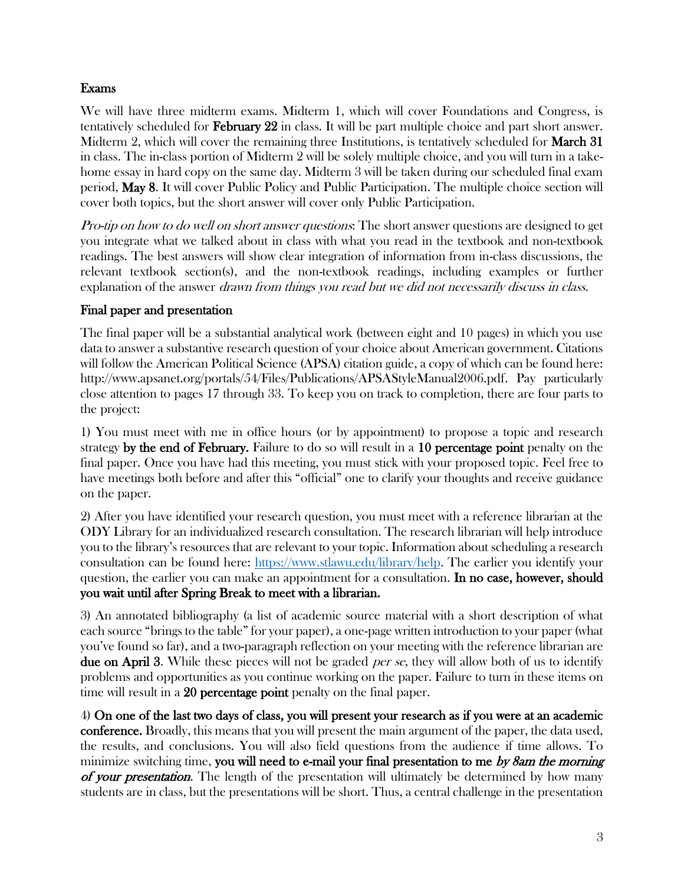#### Exams

We will have three midterm exams. Midterm 1, which will cover Foundations and Congress, is tentatively scheduled for February 22 in class. It will be part multiple choice and part short answer. Midterm 2, which will cover the remaining three Institutions, is tentatively scheduled for **March 31** in class. The in-class portion of Midterm 2 will be solely multiple choice, and you will turn in a takehome essay in hard copy on the same day. Midterm 3 will be taken during our scheduled final exam period, May 8. It will cover Public Policy and Public Participation. The multiple choice section will cover both topics, but the short answer will cover only Public Participation.

Pro-tip on how to do well on short answer questions: The short answer questions are designed to get you integrate what we talked about in class with what you read in the textbook and non-textbook readings. The best answers will show clear integration of information from in-class discussions, the relevant textbook section(s), and the non-textbook readings, including examples or further explanation of the answer *drawn from things you read but we did not necessarily discuss in class.* 

## Final paper and presentation

The final paper will be a substantial analytical work (between eight and 10 pages) in which you use data to answer a substantive research question of your choice about American government. Citations will follow the American Political Science (APSA) citation guide, a copy of which can be found here: http://www.apsanet.org/portals/54/Files/Publications/APSAStyleManual2006.pdf. Pay particularly close attention to pages 17 through 33. To keep you on track to completion, there are four parts to the project:

1) You must meet with me in office hours (or by appointment) to propose a topic and research strategy by the end of February. Failure to do so will result in a 10 percentage point penalty on the final paper. Once you have had this meeting, you must stick with your proposed topic. Feel free to have meetings both before and after this "official" one to clarify your thoughts and receive guidance on the paper.

2) After you have identified your research question, you must meet with a reference librarian at the ODY Library for an individualized research consultation. The research librarian will help introduce you to the library's resources that are relevant to your topic. Information about scheduling a research consultation can be found here: [https://www.stlawu.edu/library/help.](https://www.stlawu.edu/library/help) The earlier you identify your question, the earlier you can make an appointment for a consultation. In no case, however, should you wait until after Spring Break to meet with a librarian.

3) An annotated bibliography (a list of academic source material with a short description of what each source "brings to the table" for your paper), a one-page written introduction to your paper (what you've found so far), and a two-paragraph reflection on your meeting with the reference librarian are due on April 3. While these pieces will not be graded *per se*, they will allow both of us to identify problems and opportunities as you continue working on the paper. Failure to turn in these items on time will result in a 20 percentage point penalty on the final paper.

4) On one of the last two days of class, you will present your research as if you were at an academic conference. Broadly, this means that you will present the main argument of the paper, the data used, the results, and conclusions. You will also field questions from the audience if time allows. To minimize switching time, you will need to e-mail your final presentation to me by 8am the morning of your presentation. The length of the presentation will ultimately be determined by how many students are in class, but the presentations will be short. Thus, a central challenge in the presentation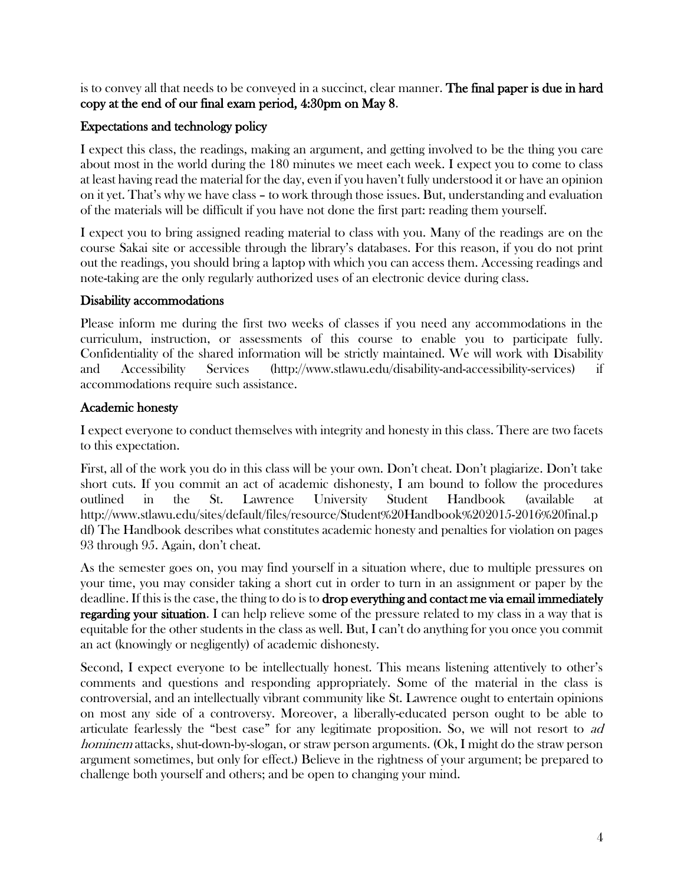is to convey all that needs to be conveyed in a succinct, clear manner. **The final paper is due in hard** copy at the end of our final exam period, 4:30pm on May 8.

# Expectations and technology policy

I expect this class, the readings, making an argument, and getting involved to be the thing you care about most in the world during the 180 minutes we meet each week. I expect you to come to class at least having read the material for the day, even if you haven't fully understood it or have an opinion on it yet. That's why we have class – to work through those issues. But, understanding and evaluation of the materials will be difficult if you have not done the first part: reading them yourself.

I expect you to bring assigned reading material to class with you. Many of the readings are on the course Sakai site or accessible through the library's databases. For this reason, if you do not print out the readings, you should bring a laptop with which you can access them. Accessing readings and note-taking are the only regularly authorized uses of an electronic device during class.

## Disability accommodations

Please inform me during the first two weeks of classes if you need any accommodations in the curriculum, instruction, or assessments of this course to enable you to participate fully. Confidentiality of the shared information will be strictly maintained. We will work with Disability and Accessibility Services (http://www.stlawu.edu/disability-and-accessibility-services) if accommodations require such assistance.

## Academic honesty

I expect everyone to conduct themselves with integrity and honesty in this class. There are two facets to this expectation.

First, all of the work you do in this class will be your own. Don't cheat. Don't plagiarize. Don't take short cuts. If you commit an act of academic dishonesty, I am bound to follow the procedures outlined in the St. Lawrence University Student Handbook (available at http://www.stlawu.edu/sites/default/files/resource/Student%20Handbook%202015-2016%20final.p df) The Handbook describes what constitutes academic honesty and penalties for violation on pages 93 through 95. Again, don't cheat.

As the semester goes on, you may find yourself in a situation where, due to multiple pressures on your time, you may consider taking a short cut in order to turn in an assignment or paper by the deadline. If this is the case, the thing to do is to drop everything and contact me via email immediately regarding your situation. I can help relieve some of the pressure related to my class in a way that is equitable for the other students in the class as well. But, I can't do anything for you once you commit an act (knowingly or negligently) of academic dishonesty.

Second, I expect everyone to be intellectually honest. This means listening attentively to other's comments and questions and responding appropriately. Some of the material in the class is controversial, and an intellectually vibrant community like St. Lawrence ought to entertain opinions on most any side of a controversy. Moreover, a liberally-educated person ought to be able to articulate fearlessly the "best case" for any legitimate proposition. So, we will not resort to ad hominem attacks, shut-down-by-slogan, or straw person arguments. (Ok, I might do the straw person argument sometimes, but only for effect.) Believe in the rightness of your argument; be prepared to challenge both yourself and others; and be open to changing your mind.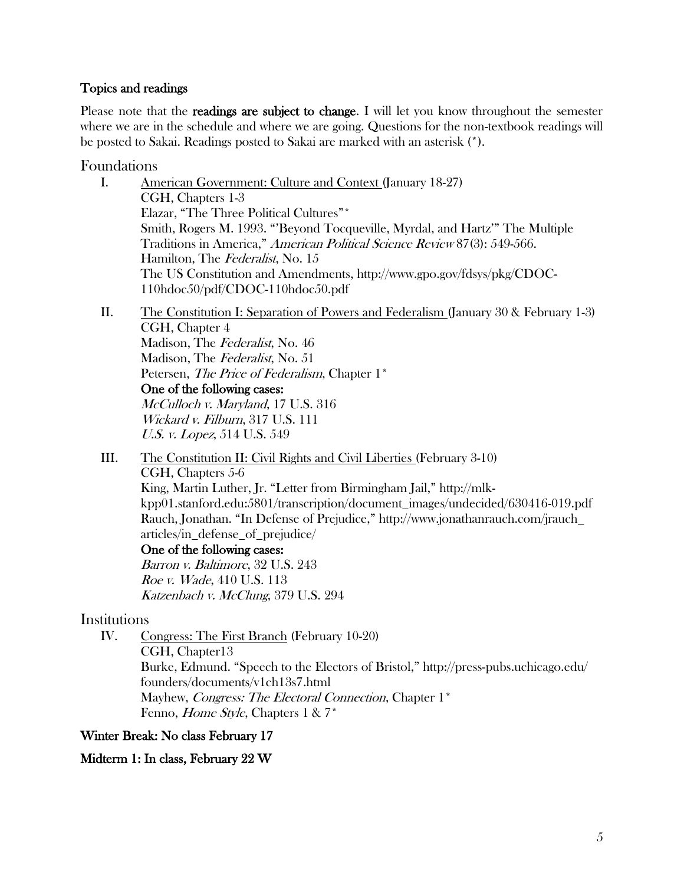#### Topics and readings

Please note that the **readings are subject to change.** I will let you know throughout the semester where we are in the schedule and where we are going. Questions for the non-textbook readings will be posted to Sakai. Readings posted to Sakai are marked with an asterisk (\*).

Foundations

- I. American Government: Culture and Context (January 18-27) CGH, Chapters 1-3 Elazar, "The Three Political Cultures"\* Smith, Rogers M. 1993. "'Beyond Tocqueville, Myrdal, and Hartz'" The Multiple Traditions in America," American Political Science Review 87(3): 549-566. Hamilton, The Federalist, No. 15 The US Constitution and Amendments, http://www.gpo.gov/fdsys/pkg/CDOC-110hdoc50/pdf/CDOC-110hdoc50.pdf
- II. The Constitution I: Separation of Powers and Federalism (January 30 & February 1-3) CGH, Chapter 4 Madison, The Federalist, No. 46 Madison, The Federalist, No. 51 Petersen, *The Price of Federalism*, Chapter 1<sup>\*</sup> One of the following cases: McCulloch v. Maryland, 17 U.S. 316 Wickard v. Filburn, 317 U.S. 111 U.S. v. Lopez, 514 U.S. 549
- III. The Constitution II: Civil Rights and Civil Liberties (February 3-10) CGH, Chapters 5-6 King, Martin Luther, Jr. "Letter from Birmingham Jail," http://mlkkpp01.stanford.edu:5801/transcription/document\_images/undecided/630416-019.pdf Rauch, Jonathan. "In Defense of Prejudice," http://www.jonathanrauch.com/jrauch\_ articles/in\_defense\_of\_prejudice/

One of the following cases: Barron v. Baltimore, 32 U.S. 243 Roe v. Wade, 410 U.S. 113 Katzenbach v. McClung, 379 U.S. 294

## Institutions

IV. Congress: The First Branch (February 10-20) CGH, Chapter13 Burke, Edmund. "Speech to the Electors of Bristol," http://press-pubs.uchicago.edu/ founders/documents/v1ch13s7.html Mayhew, Congress: The Electoral Connection, Chapter 1<sup>\*</sup> Fenno, Home Style, Chapters 1 & 7\*

Winter Break: No class February 17

#### Midterm 1: In class, February 22 W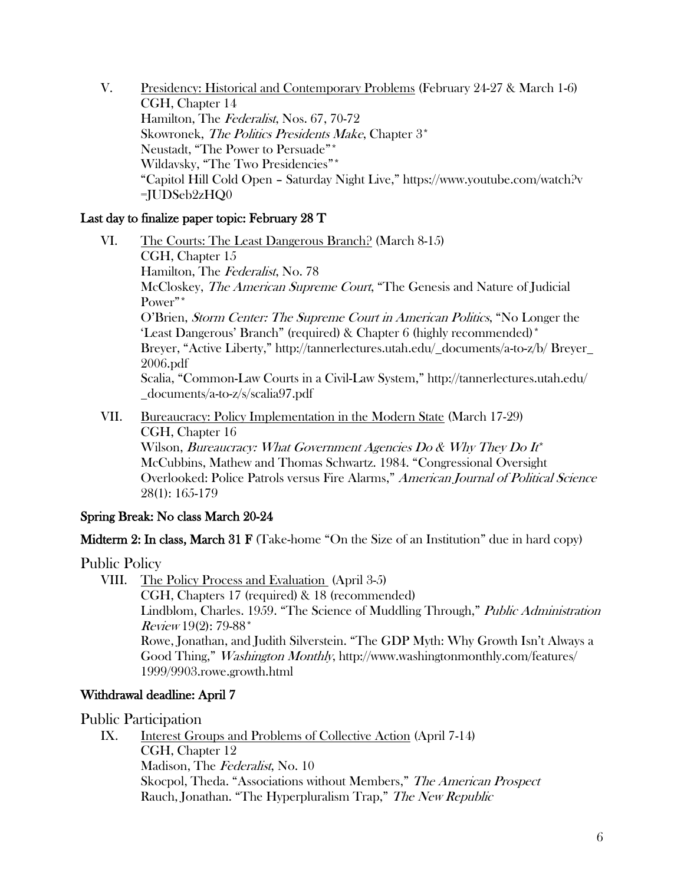V. Presidency: Historical and Contemporary Problems (February 24-27 & March 1-6) CGH, Chapter 14 Hamilton, The Federalist, Nos. 67, 70-72 Skowronek, The Politics Presidents Make, Chapter 3<sup>\*</sup> Neustadt, "The Power to Persuade"\* Wildavsky, "The Two Presidencies"\* "Capitol Hill Cold Open – Saturday Night Live," https://www.youtube.com/watch?v =JUDSeb2zHQ0

## Last day to finalize paper topic: February 28 T

- VI. The Courts: The Least Dangerous Branch? (March 8-15) CGH, Chapter 15 Hamilton, The Federalist, No. 78 McCloskey, The American Supreme Court, "The Genesis and Nature of Judicial Power"\* O'Brien, Storm Center: The Supreme Court in American Politics, "No Longer the 'Least Dangerous' Branch" (required) & Chapter 6 (highly recommended)\* Breyer, "Active Liberty," http://tannerlectures.utah.edu/\_documents/a-to-z/b/ Breyer\_ 2006.pdf Scalia, "Common-Law Courts in a Civil-Law System," http://tannerlectures.utah.edu/ \_documents/a-to-z/s/scalia97.pdf
- VII. Bureaucracy: Policy Implementation in the Modern State (March 17-29) CGH, Chapter 16 Wilson, Bureaucracy: What Government Agencies Do  $\&$  Why They Do It<sup>\*</sup> McCubbins, Mathew and Thomas Schwartz. 1984. "Congressional Oversight Overlooked: Police Patrols versus Fire Alarms," American Journal of Political Science 28(1): 165-179

## Spring Break: No class March 20-24

**Midterm 2: In class, March 31 F** (Take-home "On the Size of an Institution" due in hard copy)

#### Public Policy

VIII. The Policy Process and Evaluation (April 3-5)

CGH, Chapters 17 (required) & 18 (recommended) Lindblom, Charles. 1959. "The Science of Muddling Through," Public Administration Review 19(2): 79-88\* Rowe, Jonathan, and Judith Silverstein. "The GDP Myth: Why Growth Isn't Always a Good Thing," Washington Monthly, http://www.washingtonmonthly.com/features/ 1999/9903.rowe.growth.html

#### Withdrawal deadline: April 7

#### Public Participation

IX. Interest Groups and Problems of Collective Action (April 7-14) CGH, Chapter 12 Madison, The Federalist, No. 10 Skocpol, Theda. "Associations without Members," The American Prospect Rauch, Jonathan. "The Hyperpluralism Trap," The New Republic